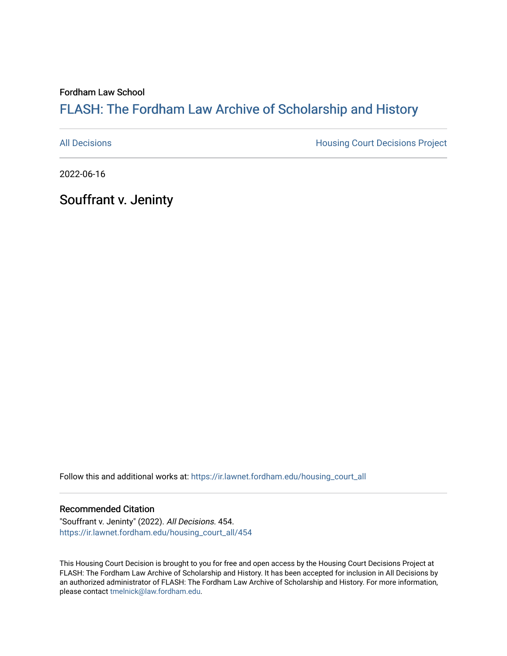## Fordham Law School

# FLASH: The For[dham Law Archive of Scholarship and Hist](https://ir.lawnet.fordham.edu/)ory

[All Decisions](https://ir.lawnet.fordham.edu/housing_court_all) **All Decisions All Decisions** Project

2022-06-16

Souffrant v. Jeninty

Follow this and additional works at: [https://ir.lawnet.fordham.edu/housing\\_court\\_all](https://ir.lawnet.fordham.edu/housing_court_all?utm_source=ir.lawnet.fordham.edu%2Fhousing_court_all%2F454&utm_medium=PDF&utm_campaign=PDFCoverPages)

### Recommended Citation

"Souffrant v. Jeninty" (2022). All Decisions. 454. [https://ir.lawnet.fordham.edu/housing\\_court\\_all/454](https://ir.lawnet.fordham.edu/housing_court_all/454?utm_source=ir.lawnet.fordham.edu%2Fhousing_court_all%2F454&utm_medium=PDF&utm_campaign=PDFCoverPages)

This Housing Court Decision is brought to you for free and open access by the Housing Court Decisions Project at FLASH: The Fordham Law Archive of Scholarship and History. It has been accepted for inclusion in All Decisions by an authorized administrator of FLASH: The Fordham Law Archive of Scholarship and History. For more information, please contact [tmelnick@law.fordham.edu](mailto:tmelnick@law.fordham.edu).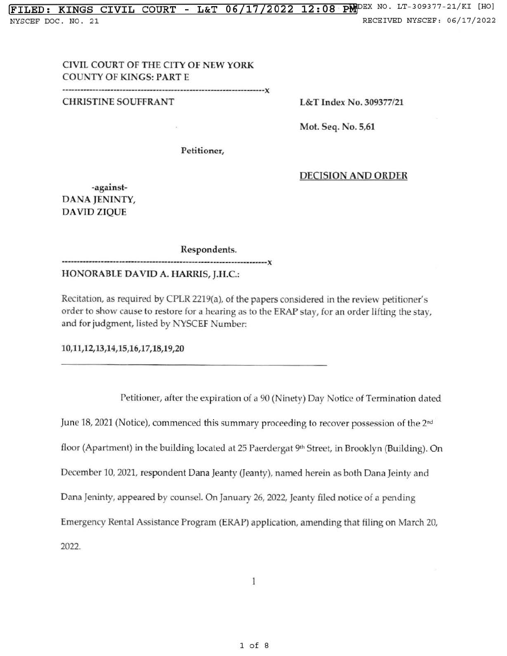## CIVIL COURT OF THE CITY OF NEW YORK COUNTY OF KINGS: PART E

------------------------------------------------------------------x

CHRISTINE SOUFFRANT

L&T Index No. 309377/21

Mot. Seq. No. 5,61

Petitioner,

### DECISION ANO ORDER

-against-DANA JENINTY, DAVID ZJQUE

Respondents.

HONORABLE DAVID A. HARRIS, J.H.C.:

--------------------------------------------------------------------x

Recitation, as required by CPLR 2219(a), of the papers considered in the review petitioner's order to show cause to restore for a hearing as to the ERAP stay, for an order lifting the stay, and for judgment, listed by NYSCEF Number:

10,11,12,13 ,14,15 ,16,17,18,19 ,20

Petitioner, after the expiration of a 90 (Ninety) Day Notice of Termination dated June 18, 2021 (Notice), commenced this summary proceeding to recover possession of the 2<sup>nd</sup>

floor (Apartment) in the building located at 25 Paerdergat 9<sup>th</sup> Street, in Brooklyn (Building). On

December 10, 2021, respondent Dana Jeanty (Jeanty), named herein as both Dana Jeinty and

Dana Jeninty, appeared by counsel. On January 26, 2022, Jeanty filed notice of a pending

Emergency Rental Assistance Program (ERAP) application, amending that filing on March 20,

2022.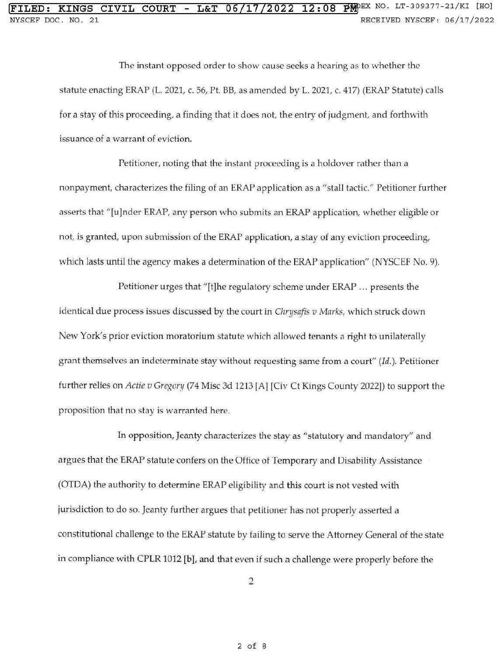## **!FILED: KINGS CIVIL COURT - L&T 06 /17/2022 12: 0 8** Plf>EX NO. LT-309377-21/KI [HO] NYSCEF DOC. NO. 21 **RECEIVED NYSCEF: 06/17/2022**

The instant opposed order to show cause seeks a hearing as to whether the statute enacting ERAP (L. 2021, c. 56, Pt. BB, as amended by L. 2021, c. 417) (ERAP Statute) calls for a stay of this proceeding, a finding that it does not, the entry of judgment, and forthwith issuance of a warrant of eviction.

Petitioner, noting that the instant proceeding is a holdover rather than a nonpayment, characterizes the filing of an ERAP application as a "stall tactic." Petitioner further asserts that "[u]nder ERAP, any person who submits an ERAP application, whether eligible or not, is granted, upon submission of the ERAP application, a stay of any eviction proceeding, which lasts until the agency makes a determination of the ERAP application" (NYSCEF No. 9).

Petitioner urges that "[t]he regulatory scheme under ERAP ... presents the identical due process issues discussed by the court in *Chrysafis v Marks,* which struck down New York's prior eviction moratorium statute which allowed tenants a right to unilaterally grant themselves an indeterminate stay without requesting same from a court" *(Id.).* Petitioner fu rther relies on *Actie u Gregan;* (74 Misc 3d 1213 [A] [Civ Ct Kings County 2022)) to support the proposition that no stay is warranted here.

In opposition, Jeanty characterizes the stay as "statutory and mandatory" and argues that the ERAP statute confers on the Office of Temporary and Disability Assistance (OTDA) the authority to determine ERAP eligibility and this court is not vested with jurisdiction to do so. Jeanty further argues that petitioner has not properly asserted a constitutional challenge to the ERAP statute by failing to serve the Attorney General of the state in compliance with CPLR 1012 [b], and that even if such a challenge were properly before the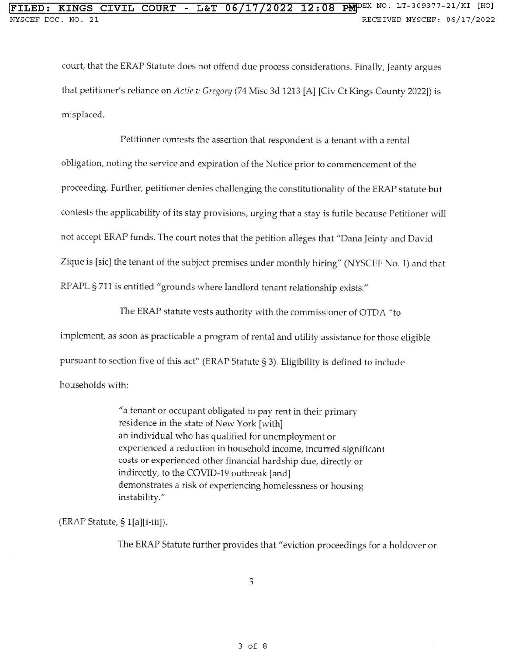court, that the ERAP Statute does not offend due process considerations. Finally, Jeanty argues that petitioner's reliance on *Actie v Gregory* (74 Misc 3d 1213 [A] [Civ Ct Kings County 2022)) is misplaced.

Petitioner contests the assertion that respondent is a tenant with a rental obligation, noting the service and expiration of the Notice prior to commencement of the proceeding. Further, petitioner denies challenging the constitutionality of the ERAP statute but contests the applicability of its stay provisions, urging that a stay is futile because Petitioner will not accept ERAP funds. The court notes that the petition alleges that "Dana Jeinty and David Zigue is [sic) the tenant of the subject premises under monthly hiring" (NYSCEF No. 1) and that RPAPL § 711 is entitled "grounds where landlord tenant relationship exists."

The ERAP statute vests authority with the commissioner of OTDA "to

implement, as soon as practicable a program of rental and utility assistance for those eligible

pursuant to section five of this act" (ERAP Statute§ 3). Eligibility is defined to include

households with:

"a tenant or occupant obligated to pay rent in their primary residence in the state of New York [with] an individual who has qualified for unemployment or experienced a reduction in household income, incurred significant costs or experienced other financial hardship due, directly or indirectly, to the COVID-19 outbreak [and] demonstrates a risk of experiencing homelessness or housing instability."

(ERAP Statute,§ l[a][i-iii]).

The ERAP Statute further provides that "eviction proceedings for a holdover or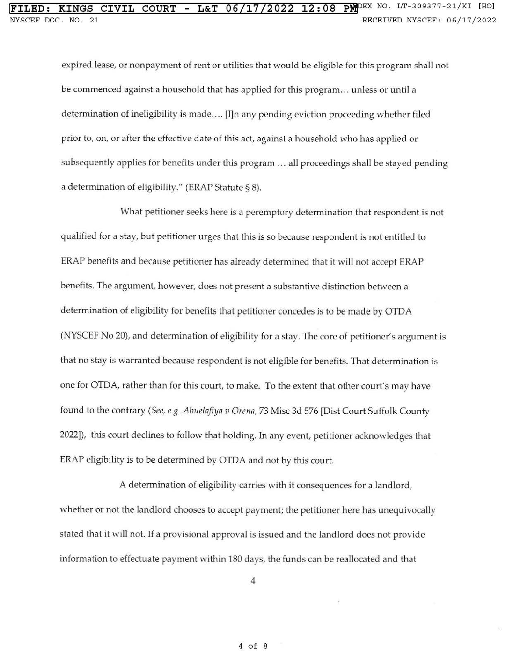expired lease, or nonpayment of rent or utilities that would be eligible for this program shall not be commenced against a household that has applied for this program ... unless or until a determination of ineligibility is made .... [I]n any pending eviction proceeding whether fiJed prior to, on, or after the effective date of this act, against a household who has applied or subsequently applies for benefits under this program ... all proceedings shall be stayed pending a determination of eligibility." (ERAP Statute§ 8).

What petitioner seeks here is a peremptory determination that respondent is not qualified for a stay, but petitioner urges that this is so because respondent is not entitled to ERAP benefits and because petitioner has already determined that it will not accept ERAP benefits. The argument, however, does not present a substantive distinction between a determination of eligibility for benefits that petitioner concedes is to be made by OTDA (NYSCEF No 20), and determination of eligibility for a stay. The core of petitioner's argument is that no stay is warranted because respondent is not eligible for benefits. That determination is one for OTDA, rather than for this court, to make. To the extent that other court's may have found to the contrary *(See, e.g. Abuelafiya v Orenn,* 73 Misc 3d 576 [Dist Court Suffolk County 2022]), this court declines to follow that holding. In any event, petitioner acknowledges that ERAP eligibility is to be determined by OTDA and not by this court.

A determination of eligibility carries with it consequences for a landlord, whether or not the landlord chooses to accept payment; the petitioner here has unequivocally stated that it will not. If a provisional approval is issued and the landlord does not provide information to effectuate payment within 180 days, the funds can be reallocated and that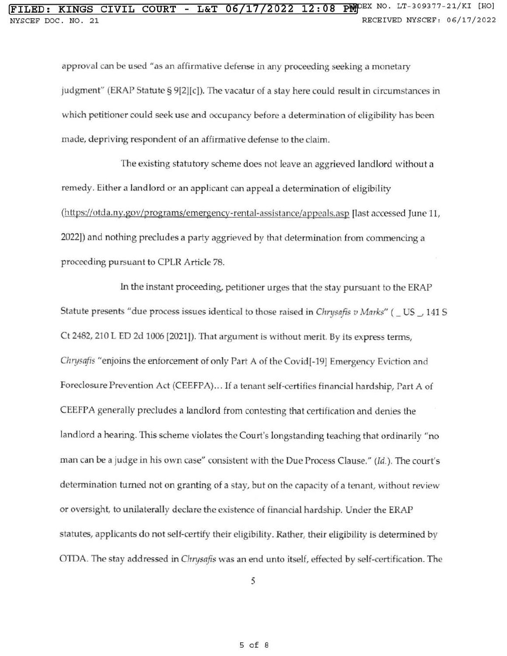approval can be used "as an affirmative defense in any proceeding seeking a monetary judgment" (ERAP Statute§ 9[2][c]). The vacatur of a stay here could result in circumstances in which petitioner could seek use and occupancy before a determination of eligibility has been made, depriving respondent of an affirmative defense to the claim.

The existing statutory scheme does not leave an aggrieved landlord without a remedy. Either a landlord or an applicant can appeal a determination of eligibility (https://otda.ny.gov/programs/emergency-rental-assistance/appeals.asp [last accessed June 11, 2022]) and nothing precludes a party aggrieved by that determination from commencing a proceeding pursuant to CPLR Article 78.

ln the instant proceeding, petitioner urges that the stay pursuant to the ERAP Statute presents "due process issues identical *to* those raised in *Chrysnfis v Mnrks"* (\_US\_, 141 S Ct 2482, 210 L ED 2d 1006 [2021]). That argument is without merit. By its express terms, *Chrysnfis* "enjoins the enforcement of only Part A of the Covid[-19] Emergency Eviction and Foreclosure Prevention Act (CEEFPA) ... If a tenant self-certifies financial hardship, Part A of CEEFPA generally precludes a landlord from contesting that certification and denies the landlord a hearing. This scheme violates the Court's longstanding teaching that ordinarily "no man can be a judge in his own case" consistent with the Due Process Clause." *(Id.).* The court's determination turned not on granting of a stay, but on the capacity of a tenant, without review or oversight, to unilaterally declare the existence of financial hardship. Under the ERAP statutes, applicants do not self-certify their eligibility. Rather, their eligibility is determined by OTDA. The stay addressed in *Chn;safis* was an end unto itself, effected by self-certification. The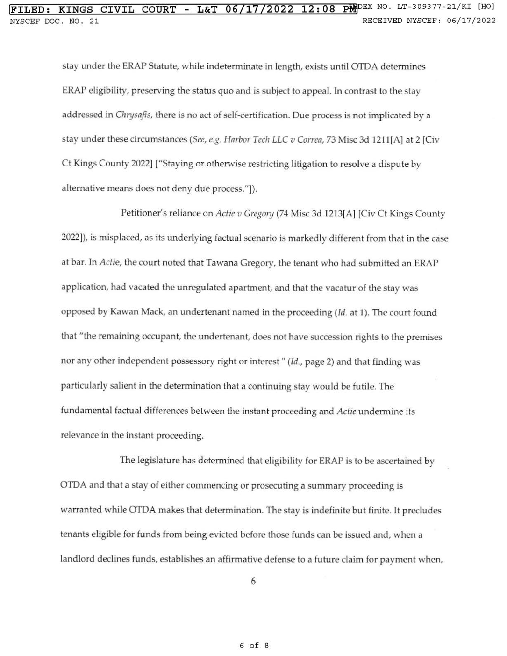stay under the ERAP Statute, while indeterminate in length, exists until OTDA determines ERAP eligibility, preserving the status quo and is subject to appeal. In contrast to the stay addressed in *Chrysafis*, there is no act of self-certification. Due process is not implicated by a stay under these circumstances *(See, e.g. Hnrbor Tech LLC v Corren,* 73 Misc 3d 1211[A] at 2 [Civ Ct Kings County 2022] ["Staying or otherwise restricting litigation to resolve a dispute by alternative means does not deny due process."]).

Petitioner's reliance on *Actie v Gregory* (74 Misc 3d 1213[A] [Civ Ct Kings County 2022]), is misplaced, as its underlying factual scenario is markedly different from that in the case at bar. ln *Actie,* the court noted that Tawana Gregory, the tenant who had submitted an ERAP application, had vacated the unregulated apartment, and that the vacatur of the stay was opposed by Kawan Mack, an undertenant named in the proceeding (Id. at 1). The court found that "the remaining occupant, the undertenant, does not have succession rights to the premises nor any other independent possessory right or interest " (Id., page 2) and that finding was particularly salient in the determination that a continuing stay would be futile. The fundamental factual differences between the instant proceeding and *Actie* undermine its relevance in the instant proceeding.

The legislature has determined that eligibility for ERAP is to be ascertained by OTDA and that a stay of either commencing or prosecuting a summary proceeding is warranted while OTDA makes that determination. The stay is indefinite but finite. It precludes tenants eligible for funds from being evicted before those funds can be issued and, when a landlord declines funds, establishes an affirmative defense to a future claim for payment when,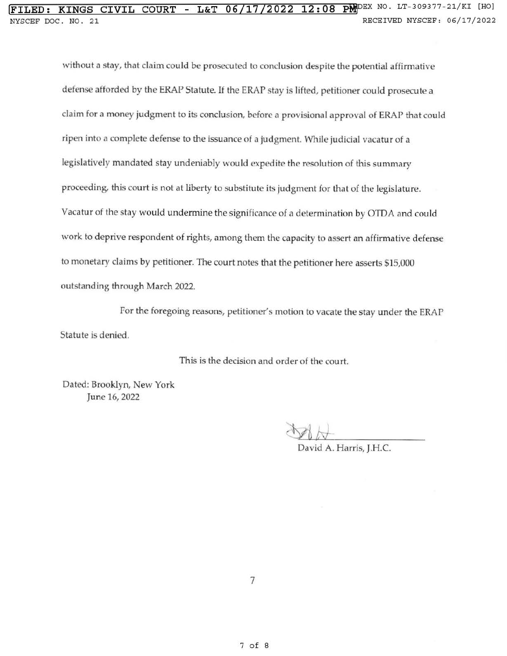without a stay, that claim could be prosecuted to conclusion despite the potential affirmative defense afforded by the ERAP Statute. If the ERAP stay is lifted, petitioner could prosecute a claim for a money judgment to its conclusion, before a provisional approval of ERAP that could ripen into a complete defense to the issuance of a judgment. While judicial vacatur of a legislatively mandated stay undeniably would expedite the resolution of this summary proceeding, this court is not at liberty to substitute its judgment for that of the legislature. Vacatur of the stay would undermine the significance of a determination by OTDA and could work to deprive respondent of rights, among them the capacity to assert an affirmative defense to monetary claims by petitioner. The court notes that the petitioner here asserts \$15,000 outstanding through March 2022.

For the foregoing reasons, petitioner's motion to vacate the stay under the ERAP Statute is denied.

This is the decision and order of the court.

Dated: Brooklyn, New York June 16, 2022

David A. Harris, J.H.C.